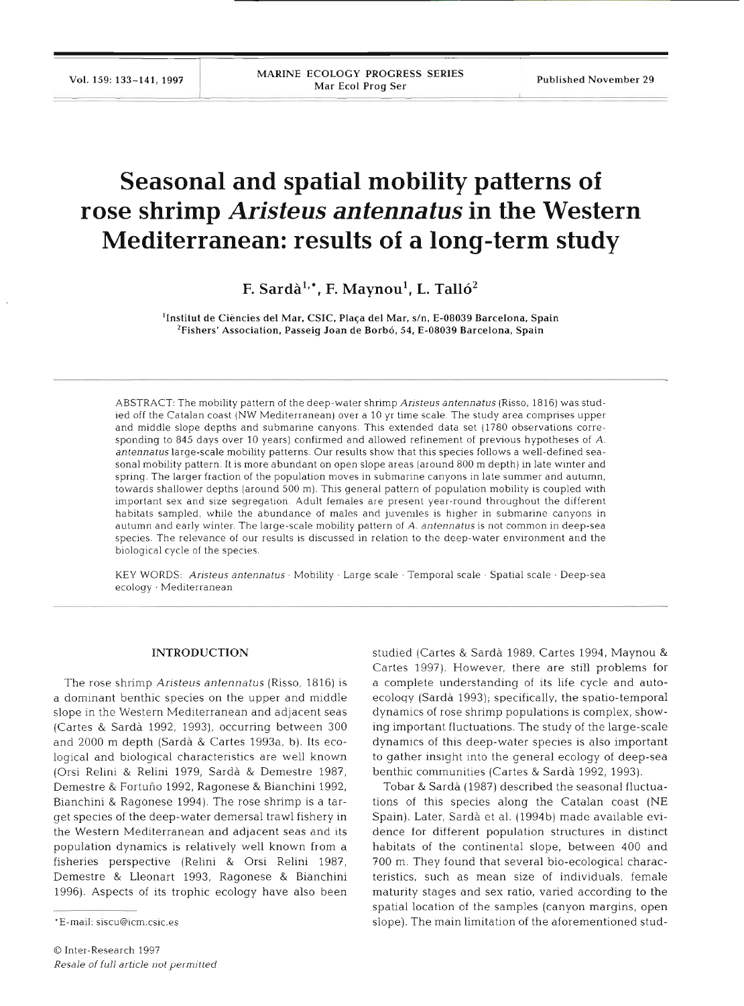# **Seasonal and spatial mobility patterns of rose shrimp** *Aristeus antennatus* **in the Western Mediterranean: results of a long-term study**

F. Sardà<sup>1,\*</sup>, F. Maynou<sup>1</sup>, L. Talló<sup>2</sup>

<sup>1</sup>Institut de Ciències del Mar, CSIC, Plaça del Mar, s/n, E-08039 Barcelona, Spain <sup>2</sup>Fishers' Association, Passeig Joan de Borbó, 54, E-08039 Barcelona, Spain

ABSTRACT: The mobility pattern of the deep-water shrimp Aristeus antennatus (Risso, 1816) was studled off the Catalan coast (NW Mediterranean) over a 10 yr time scale The study area compnses upper and middle slope depths and submarine canyons. This extended data set (1780 observations corresponding to 845 days over 10 years) confirmed and allowed refinement of previous hypotheses of A. antennatus large-scale mobility patterns. Our results show that this species follows a well-defined seasonal mobility pattern. It is more abundant on open slope areas (around 800 m depth) in late winter and spring. The larger fraction of the population moves in submarine canyons in late summer and autumn, towards shallower depths (around 500 m). This general pattern of population mobility is coupled with important sex and size segregation. Adult females are present year-round throughout the different habitats sampled, while the abundance of males and juveniles is higher in submarine canyons in autumn and early winter. The large-scale mobility pattern of A. antennatus is not common in deep-sea species. The relevance of our results is discussed in relation to the deep-water environment and the biological cycle of the species.

KEY WORDS: Aristeus antennatus Mobility · Large scale · Temporal scale · Spatial scale · Deep-sea ecology . Mediterranean

#### **INTRODUCTI**

The rose shrimp Ansteus *antennatus* (Risso, 1816) is a dominant benthic species on the upper and middle slope in the Western Mediterranean and adjacent seas (Cartes & Sarda 1992, 1993), occurring between 300 and 2000 m depth (Sarda & Cartes 1993a, b). Its ecological and biological characteristics are well known (Orsi Relini & Relini 1979, Sarda & Demestre 1987, Demestre & Fortuno 1992, Ragonese & Bianchini 1992, Bianchini & Ragonese 1994). The rose shrimp is a target species of the deep-water demersal trawl fishery in the Western Mediterranean and adjacent seas and its population dynamics is relatively well known from a fisheries perspective (Relini & Orsi Relini 1987, Demestre & Lleonart 1993, Ragonese & Bianchini 1996). Aspects of its trophic ecology have also been

studied (Cartes & Sarda 1989, Cartes 1994, Maynou & Cartes 1997). However, there are still problems for a complete understanding of its life cycle and autoecology (Sarda 1993); specifically, the spatio-temporal dynamics of rose shrimp populations is complex, showing important fluctuations. The study of the large-scale dynamics of this deep-water species is also important to gather insight into the general ecology of deep-sea benthic communities (Cartes & Sarda 1992, 1993).

Tobar & Sarda (1987) described the seasonal fluctuations of this species along the Catalan coast (NE Spain). Later, Sardà et al. (1994b) made available evidence for different population structures in distinct habitats of the continental slope, between 400 and 700 m. They found that several bio-ecological characteristics, such as mean size of individuals, female maturity stages and sex ratio, varied according to the spatial location of the samples (canyon margins, open slope). The main limitation of the aforementioned stud-

<sup>&#</sup>x27;E-mail: siscu@icm.csic.es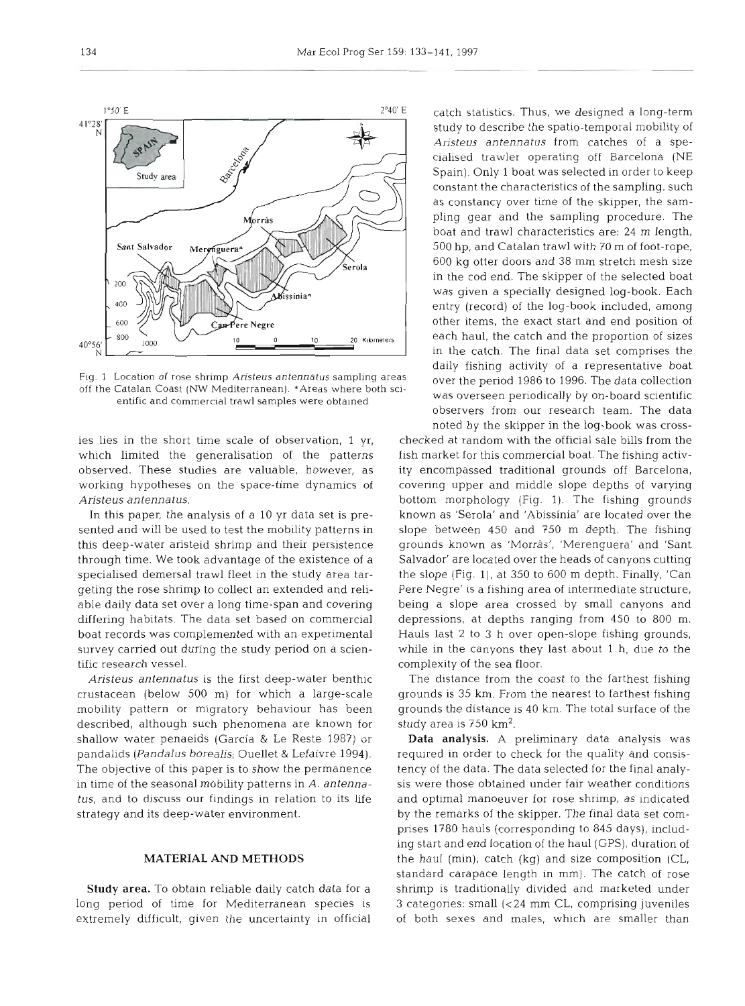

Fig. 1 Location of rose shrimp Aristeus antennatus sampling areas off the Catalan Coast (NW Mediterranean). \*Areas where both scientific and commercial trawl samples were obtained

ies lies in the short time scale of observation, 1 yr, which limited the generalisation of the patterns observed. These studies are valuable, however, as working hypotheses on the space-time dynamics of Aristeus antennatus.

In this paper, the analysis of a 10 yr data set is presented and will be used to test the mobility patterns in this deep-water aristeid shrimp and their persistence through time. We took advantage of the existence of a specialised demersal trawl fleet in the study area targeting the rose shrimp to collect an extended and reliable daily data set over a long time-span and covering differing habitats. The data set based on commercial boat records was complemented with an experimental survey carried out during the study period on a scientific research vessel.

Aristeus antennatus is the first deep-water benthic crustacean (below 500 m) for which a large-scale mobility pattern or migratory behaviour has been described, although such phenomena are known for shallow water penaeids (Garcia & Le Reste 1987) or pandalids (Pandalus borealis; Ouellet & Lefaivre 1994). The objective of this paper is to show the permanence in time of the seasonal mobility patterns in A. antennatus, and to discuss our findings in relation to its life strategy and its deep-water environment.

## MATERIAL AND METHODS

Study area. To obtain reliable daily catch data for a long period of time for Mediterranean species is extremely difficult, given the uncertainty in official catch statistics. Thus, we designed a long-term study to describe the spatio-temporal mobility of Aristeus antennatus from catches of a specialised trawler operating off Barcelona (NE Spain). Only 1 boat was selected in order to keep constant the characteristics of the sampling, such as constancy over time of the skipper, the sampling gear and the sampling procedure. The boat and trawl characteristics are: 24 m length, 500 hp, and Catalan trawl with 70 m of foot-rope, 600 kg otter doors and 38 mm stretch mesh size in the cod end. The skipper of the selected boat was given a specially designed log-book. Each entry (record) of the log-book included, among other items, the exact start and end position of each haul, the catch and the proportion of sizes in the catch. The final data set comprises the daily fishing activity of a representative boat over the period 1986 to 1996. The data collection was overseen periodically by on-board scientific observers from our research team. The data noted by the skipper in the log-book was cross-

checked at random with the official sale bills from the fish market for this commercial boat. The fishing activity encompassed traditional grounds off Barcelona, covenng upper and middle slope depths of varying bottom morphology (Fig. 1). The fishing grounds known as 'Serola' and 'Abissinia' are located over the slope between 450 and 750 m depth. The fishing grounds known as 'Morràs', 'Merenguera' and 'Sant Salvador' are located over the heads of canyons cutting the slope (Fig. l), at 350 to 600 m depth. Finally, 'Can Pere Negre' is a fishing area of intermediate structure, being a slope area crossed by small canyons and depressions, at depths ranging from 450 to 800 m. Hauls last 2 to 3 h over open-slope fishing grounds, while in the canyons they last about 1 h, due to the complexity of the sea floor.

The distance from the coast to the farthest fishing grounds is 35 km. From the nearest to farthest fishing grounds the distance is 40 km. The total surface of the study area is 750 km2.

Data analysis. **A** preliminary data analysis was required in order to check for the quality and consistency of the data. The data selected for the final analysis were those obtained under fair weather conditions and optimal manoeuver for rose shrimp, as indicated by the remarks of the skipper. The final data set comprises 1780 hauls (corresponding to 845 days), including start and end location of the haul (GPS), duration of the haul (min), catch (kg) and size composition (CL, standard carapace length in mm). The catch of rose shrimp is traditionally divided and marketed under 3 categories: small **(c24** mm CL, comprising juveniles of both sexes and males, which are smaller than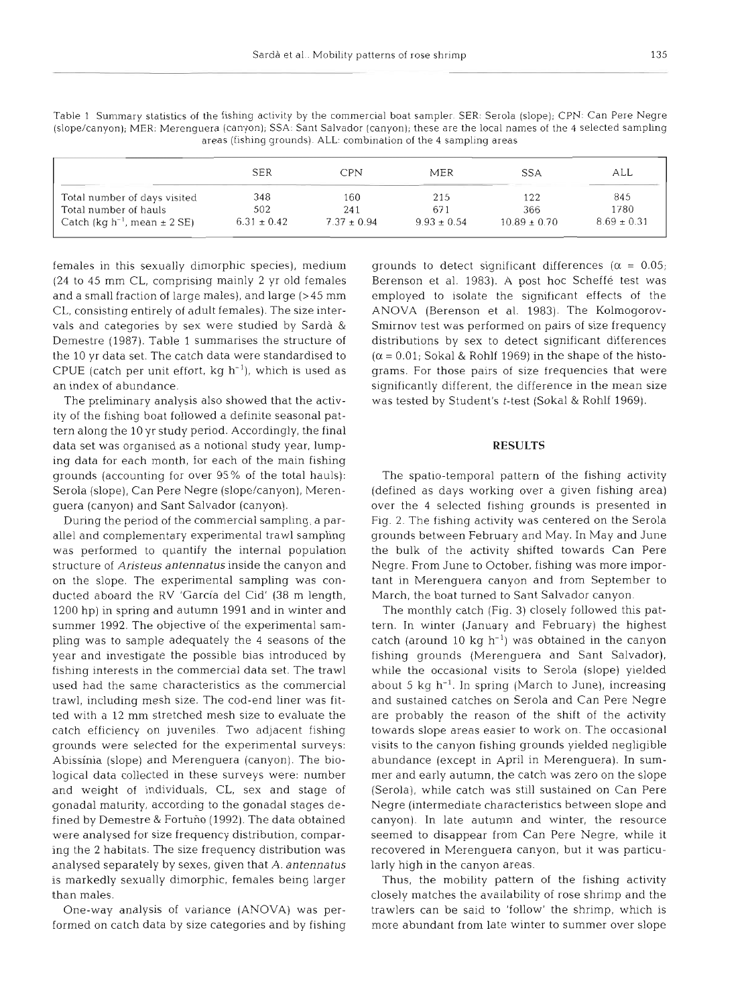|  | ı<br>I<br>×<br>۰. | ۰.<br>×<br>$\sim$ |
|--|-------------------|-------------------|
|--|-------------------|-------------------|

|                                        | <b>SER</b>      | <b>CPN</b>      | <b>MER</b>      | <b>SSA</b>       | all             |
|----------------------------------------|-----------------|-----------------|-----------------|------------------|-----------------|
| Total number of days visited           | 348             | 160             | 215             | 122              | 845             |
| Total number of hauls                  | 502             | 241             | 671             | 366              | 1780            |
| Catch $(kq h^{-1})$ , mean $\pm$ 2 SE) | $6.31 \pm 0.42$ | $7.37 \pm 0.94$ | $9.93 \pm 0.54$ | $10.89 \pm 0.70$ | $8.69 \pm 0.31$ |

Table 1 Summary statistics of the fishing activity by the commercial boat sampler. SER: Serola (slope); CPN: Can Pere Negre (slope/canyon); MER: Merenguera (canyon), SSA. Sant Salvador (canyon); these are the local names of the 4 selected sampling areas (fishing grounds). ALL: combination of the 4 sampling areas

females in this sexually dimorphic species), medium (24 to 45 mm CL, comprising mainly 2 yr old females and a small fraction of large males), and large **(>45** mm CL, consisting entirely of adult females). The size intervals and categories by sex were studied by Sardà & Demestre (1987). Table 1 summarises the structure of the 10 yr data set. The catch data were standardised to CPUE (catch per unit effort,  $kg \ h^{-1}$ ), which is used as an index of abundance.

The preliminary analysis also showed that the activity of the fishing boat followed a definite seasonal pattern along the 10 yr study period. Accordingly, the final data set was organised as a notional study year, lumping data for each month, for each of the main fishing grounds (accounting for over 95% of the total hauls): Serola (slope), Can Pere Negre (slope/canyon), Merenguera (canyon) and Sant Salvador (canyon).

During the period of the commercial sampling, a parallel and complementary experimental trawl sampling was performed to quantify the internal population structure of *Aristeus antennatus* inside the canyon and on the slope. The experimental sampling was conducted aboard the RV 'Garcia del Cid' (38 m length, 1200 hp) in spring and autumn 1991 and in winter and summer 1992. The objective of the experimental sampling was to sample adequately the 4 seasons of the year and investigate the possible bias introduced by fishing interests in the commercial data set. The trawl used had the same characteristics as the commercial trawl, including mesh size. The cod-end liner was fitted with a 12 mm stretched mesh size to evaluate the catch efficiency on juveniles. Two adjacent fishing grounds were selected for the experimental surveys: Abissinia (slope) and Merenguera (canyon). The biological data collected in these surveys were: number and weight of individuals, CL, sex and stage of gonadal maturity, according to the gonadal stages defined by Demestre & Fortuño (1992). The data obtained were analysed for size frequency distribution, comparing the 2 habitats. The size frequency distribution was analysed separately by sexes, given that **A.** *antennatus*  is markedly sexually dimorphic, females being larger than males.

One-way analysis of variance (ANOVA) was performed on catch data by size categories and by fishing grounds to detect significant differences ( $\alpha = 0.05$ ; Berenson et al. 1983). **A** post hoc Scheffe test was employed to isolate the significant effects of the ANOVA (Berenson et al. 1983). The Kolmogorov-Smirnov test was performed on pairs of size frequency distributions by sex to detect significant differences  $(\alpha = 0.01)$ ; Sokal & Rohlf 1969) in the shape of the histograms. For those pairs of size frequencies that were significantly different, the difference in the mean size was tested by Student's t-test (Sokal & Rohlf 1969).

#### **RESULTS**

The spatio-temporal pattern of the fishing activity (defined as days working over a given fishing area) over the 4 selected fishing grounds is presented in Fig. 2. The fishing activity was centered on the Serola grounds between February and May. In May and June the bulk of the activity shifted towards Can Pere Negre. From June to October, fishing was more important in Merenguera canyon and from September to March, the boat turned to Sant Salvador canyon.

The monthly catch (Fig. 3) closely followed this pattern. In winter (January and February) the highest catch (around 10 kg  $h^{-1}$ ) was obtained in the canyon fishing grounds (Merenguera and Sant Salvador), while the occasional visits to Serola (slope) yielded about 5 kg  $h^{-1}$ . In spring (March to June), increasing and sustained catches on Serola and Can Pere Negre are probably the reason of the shift of the activity towards slope areas easier to work on. The occasional visits to the canyon fishing grounds yielded negligible abundance (except in April in Merenguera). In summer and early autumn, the catch was zero on the slope (Serola), while catch was still sustained on Can Pere Negre (intermediate characteristics between slope and canyon). In late autumn and winter, the resource seemed to disappear from Can Pere Negre, while it recovered in Merenguera canyon, but it was particularly high in the canyon areas.

Thus, the mobility pattern of the fishing activity closely matches the availability of rose shrimp and the trawlers can be said to 'follow' the shrimp, which is more abundant from late winter to summer over slope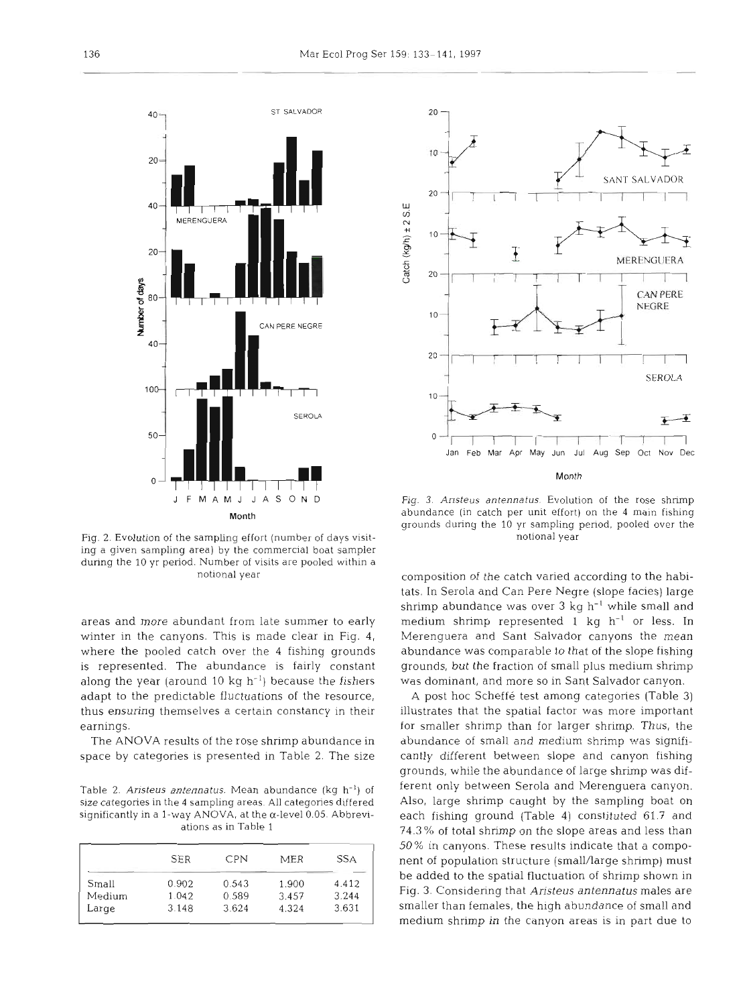

Fig. **2.** Evolution of the sampling effort (number of days visit- notional year ing a given sampling area) by the commercial boat sampler during the 10 yr period. Number of visits are pooled within a notional year

areas and more abundant from late summer to early winter in the canyons. This is made clear in Fig. **4,**  where the pooled catch over the 4 fishing grounds is represented. The abundance is fairly constant along the year (around 10 kg  $h^{-1}$ ) because the fishers adapt to the predictable fluctuations of the resource, thus ensuring themselves a certain constancy in their earnings.

The ANOVA results of the rose shrimp abundance in space by categories is presented in Table 2. The size

Table 2. Aristeus antennatus. Mean abundance (kg  $h^{-1}$ ) of size categories in the 4 sampling areas. **All** categories differed significantly in a I-way **ANOVA,** at the a-level 0.05. Abbreviations as in Table 1

|        | <b>SER</b> | <b>CPN</b> | MER   | <b>SSA</b> |
|--------|------------|------------|-------|------------|
| Small  | 0.902      | 0.543      | 1.900 | 4.412      |
| Medium | 1.042      | 0.589      | 3.457 | 3.244      |
| Large  | 3.148      | 3.624      | 4.324 | 3.631      |



J F M A M J J A S O N D Fig. 3. Ansteus antennatus. Evolution of the rose shrimp Month abundance (in catch per unit effort) on the 4 main fishing grounds during the 10 yr sampling period, pooled over the

composition of the catch varied according to the habitats. In Serola and Can Pere Negre (slope facies) large shrimp abundance was over **3** kg h-' while small and medium shrimp represented 1 kg  $h^{-1}$  or less. In Merenguera and Sant Salvador canyons the mean abundance was comparable to that of the slope fishing grounds, but the fraction of small plus medium shrimp was dominant, and more so in Sant Salvador canyon.

**A** post hoc Scheffe test among categories (Table **3)**  illustrates that the spatial factor was more important for smaller shrimp than for larger shrimp. Thus, the abundance of small and medium shrimp was significantly different between slope and canyon fishing grounds, while the abundance of large shrimp was different only between Serola and Merenguera canyon. Also, large shrimp caught by the sampling boat on each fishing ground (Table 4) constituted 61.7 and **74.3** % of total shrimp on the slope areas and less than 50% in canyons. These results indicate that a component of population structure (smallAarge shrimp) must be added to the spatial fluctuation of shrimp shown in Fig. **3.** Considering that *Ansteus* **anfennatus** males are smaller than females, the high abundance of small and medium shrimp in the canyon areas is in part due to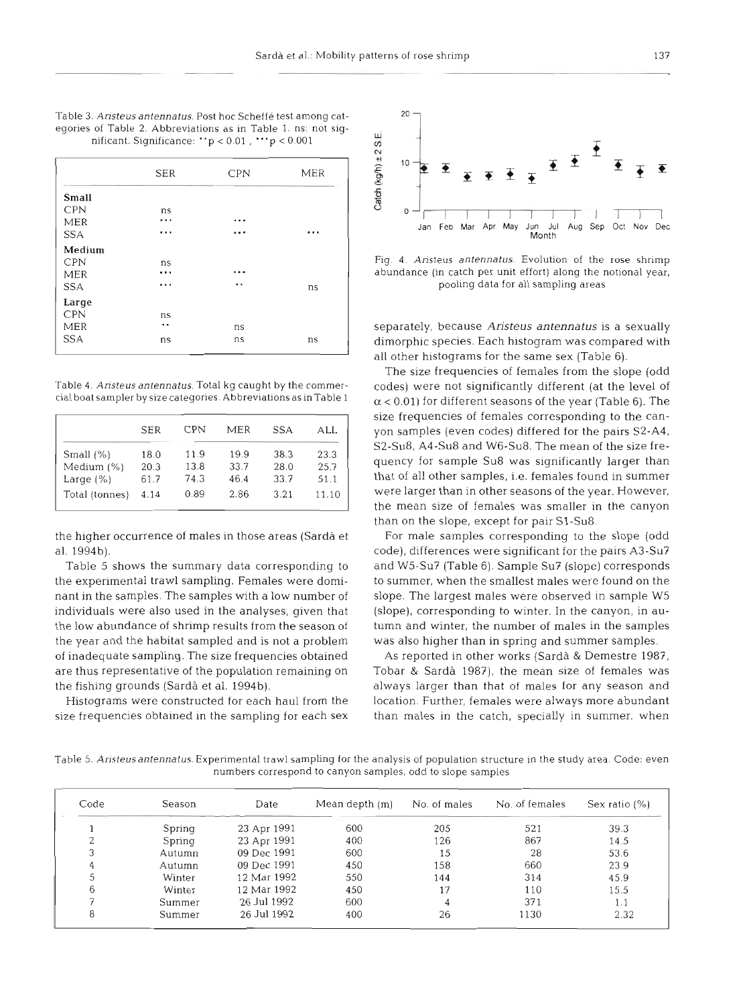| Table 3. Aristeus antennatus. Post hoc Scheffé test among cat-     |  |
|--------------------------------------------------------------------|--|
| eqories of Table 2. Abbreviations as in Table 1. ns: not siq-      |  |
| nificant. Significance: $p < 0.01$ , $\cdot \cdot \cdot p < 0.001$ |  |

|            | <b>SER</b> | CPN                  | MER | Catch (kg/h) ±<br>10       |
|------------|------------|----------------------|-----|----------------------------|
| Small      |            |                      |     |                            |
| <b>CPN</b> | ns         |                      |     |                            |
| MER        |            | $\cdots$             |     |                            |
| <b>SSA</b> |            | $\cdots$             | .   |                            |
| Medium     |            |                      |     |                            |
| <b>CPN</b> | ns         |                      |     | Fig. 4. $A$ .              |
| MER        |            | $\cdots$             |     | abundanc                   |
| <b>SSA</b> | .          | $\ddot{\phantom{1}}$ | ns  |                            |
| Large      |            |                      |     |                            |
| <b>CPN</b> | ns         |                      |     |                            |
| MER        |            | ns                   |     | separatel                  |
| <b>SSA</b> | ns         | ns                   | ns  | dimorphi<br>$all$ at $new$ |

Table 4. Aristeus antennatus. Total kg caught by the commercial boat sampler by size categories. Abbreviations as inTable 1

|                | <b>SER</b> | CPN  | MER  | <b>SSA</b> | all.  |
|----------------|------------|------|------|------------|-------|
| Small $(\% )$  | 18.0       | 11.9 | 19.9 | 38.3       | 23.3  |
| Medium (%)     | 20.3       | 13.8 | 33.7 | 28.0       | 25.7  |
| Large $(%)$    | 61.7       | 74.3 | 46.4 | 33.7       | 51.1  |
| Total (tonnes) | 4.14       | 0.89 | 2.86 | 3.21       | 11.10 |

the higher occurrence of males in those areas (Sarda et al. 1994b).

Table 5 shows the summary data corresponding to the expenmental trawl sampling. Females were dominant in the samples. The samples with a low number of individuals were also used in the analyses, given that the low abundance of shrimp results from the season of the year and the habitat sampled and is not a problem of inadequate sampling. The size frequencies obtained are thus representative of the population remaining on the fishing grounds (Sardà et al. 1994b).

Histograms were constructed for each haul from the size frequencies obtained in the sampling for each sex



Fig. 4. Ansteus antennatus. Evolution of the rose shrimp abundance (in catch per unit effort) along the notional year. pooling data for all sampling areas

separately, because *Aristeus antennatus* is *a* sexually dimorphic species. Each histogram was compared with all other histograms for the same sex (Table 6).

The size frequencies of females from the slope (odd codes) were not significantly different (at the level of  $\alpha$  < 0.01) for different seasons of the year (Table 6). The size frequencies of females corresponding to the canyon samples (even codes) differed for the pairs S2-A4, S2-Su8, A4-Su8 and W6-Su8. The mean of the size frequency for sample Su8 was significantly larger than that of all other samples, i.e. females found in summer were larger than in other seasons of the year. However, the mean size of females was smaller in the canyon than on the slope, except for pair S1-Su8.

For male samples corresponding to the slope (odd code), differences were significant for the pairs A3-Su? and W5-Su? (Table 6). Sample Su? (slope) corresponds to summer, when the smallest males were found on the slope. The largest males were observed in sample W5 (slope), corresponding to winter. In the canyon, in autumn and winter, the number of males in the samples was also higher than in spring and summer samples.

As reported in other works (Sarda & Demestre 1987, Tobar & Sarda 1987), the mean size of females was always larger than that of males for any season and location. Further, females were always more abundant than males in the catch, specially in summer, when

Table 5. Aristeus antennatus. Experimental trawl sampling for the analysis of population structure in the study area. Code: even numbers correspond to canyon samples, odd to slope samples

| Code | Season | Date        | Mean depth (m) | No. of males | No. of females | Sex ratio $(\%)$ |
|------|--------|-------------|----------------|--------------|----------------|------------------|
|      | Spring | 23 Apr 1991 | 600            | 205          | 521            | 39.3             |
|      | Spring | 23 Apr 1991 | 400            | 126          | 867            | 14.5             |
| 3    | Autumn | 09 Dec 1991 | 600            | 15           | 28             | 53.6             |
| 4    | Autumn | 09 Dec 1991 | 450            | 158          | 660            | 23.9             |
| 5    | Winter | 12 Mar 1992 | 550            | 144          | 314            | 45.9             |
| 6    | Winter | 12 Mar 1992 | 450            | 17           | 110            | 15.5             |
|      | Summer | 26 Jul 1992 | 600            | 4            | 371            | 1.1              |
| 8    | Summer | 26 Jul 1992 | 400            | 26           | 1130           | 2.32             |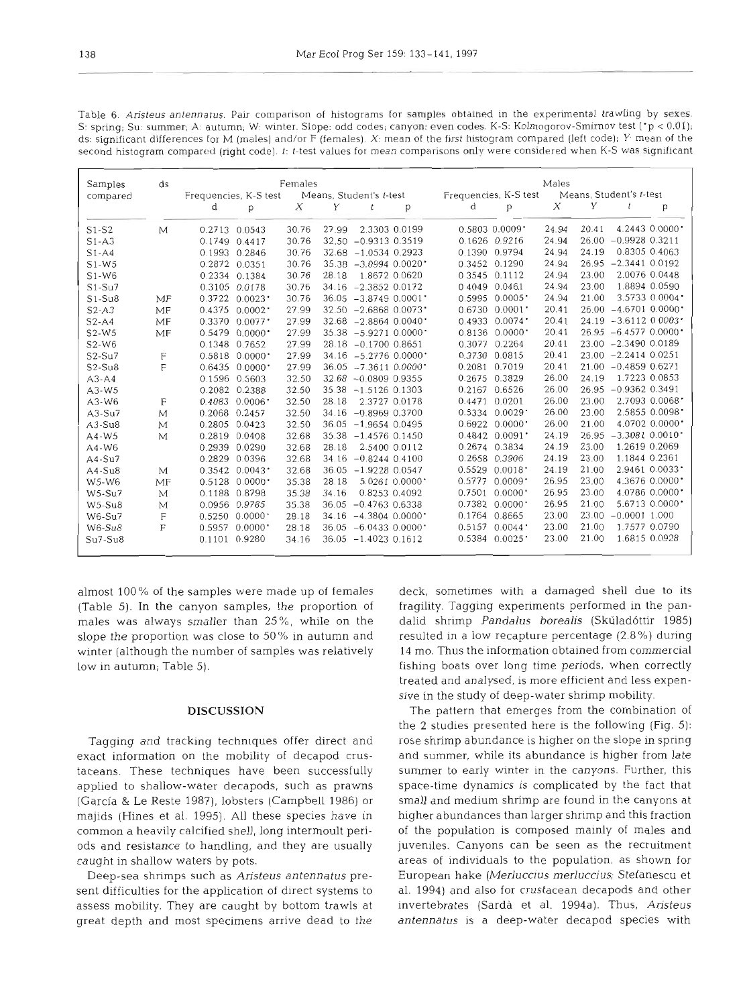| Samples   | ds |                                 | Females |       |                         |                                 | Males |       |                         |                |
|-----------|----|---------------------------------|---------|-------|-------------------------|---------------------------------|-------|-------|-------------------------|----------------|
| compared  |    | Frequencies, K-S test           |         |       | Means, Student's t-test | Frequencies, K-S test           |       |       | Means. Student's t-test |                |
|           |    | d<br>p                          | Х       | Y     | t<br>p                  | d<br>p                          | X     | Υ     |                         | p              |
| $S1-S2$   | М  | $0.2713$ 0.0543                 | 30.76   | 27.99 | 2.3303 0.0199           | $0.5803$ $0.0009$ *             | 24.94 | 20.41 |                         | 4.2443 0.0000  |
| $S1 - A3$ |    | 0.1749<br>0.4417                | 30.76   |       | 32.50 -0.9313 0.3519    | 0.9216<br>0.1626                | 24.94 | 26.00 | $-0.9928$ $0.3211$      |                |
| $S1 - A4$ |    | 0.1993<br>0.2846                | 30.76   |       | $32.68 - 1.0534 0.2923$ | 0.1390<br>0.9794                | 24.94 | 24.19 | 0.8305 0.4063           |                |
| $S1-W5$   |    | 0.2872 0.0351                   | 30.76   |       | $35.38 - 3.0994 0.0020$ | 0.3452 0.1290                   | 24.94 | 26.95 | $-2.3441$ 0.0192        |                |
| $S1-W6$   |    | 0.2334<br>0.1384                | 30.76   | 28.18 | 1.8672 0.0620           | 0 3 5 4 5<br>0.1112             | 24.94 | 23.00 | 2.0076 0.0448           |                |
| $S1-Su7$  |    | 0.0178<br>0.3105                | 30.76   |       | 34.16 -2.3852 0.0172    | 0.046.1<br>04049                | 24.94 | 23.00 | 1.8894 0.0590           |                |
| $S1-Su8$  | MF | 0.3722<br>0.0023                | 30.76   |       | $36.05 - 3.8749 0.0001$ | 0.5995<br>$0.0005$ <sup>*</sup> | 24.94 | 21.00 |                         | 3.5733 0.0004* |
| $S2-A3$   | MF | $0.4375$ $0.0002$               | 27.99   |       | $32.50 - 2.6868 0.0073$ | 0.6730<br>0.0001                | 20.41 | 26.00 | $-4.6701$ 0.0000        |                |
| $S2-A4$   | MF | 0.0077<br>0.3370                | 27.99   |       | $32.68 - 2.8864 0.0040$ | 0.4933<br>0.0074                | 20.41 | 24.19 | $-3.6112$ 0.0003        |                |
| $S2-W5$   | MF | 0.5479<br>0.0000                | 27.99   |       | $35.38 - 5.9271 0.0000$ | 0.8136<br>0.0000                | 20.41 |       | $26.95 - 6.4577 0.0000$ |                |
| S2-W6     |    | 0.1348<br>0.7652                | 27.99   |       | 28.18 -0.1700 0.8651    | 0.3077<br>0.2264                | 20.41 |       | 23.00 -2.3490 0.0189    |                |
| $S2-Su7$  | F  | 0.5818<br>0.0000                | 27.99   |       | $34.16 - 5.2776 0.0000$ | 0.3730<br>0.0815                | 20.41 |       | $23.00 -2.2414 0.0251$  |                |
| $S2-Su8$  | F  | 0.6435<br>0.0000                | 27.99   |       | $36.05 - 7.3611 0.0000$ | 0.2081<br>0.7019                | 20.41 | 21.00 | $-0.4859$ 0.6271        |                |
| $A3 - A4$ |    | 0.1596<br>0.5603                | 32.50   |       | $32.68 - 0.0809 0.9355$ | 0.3829<br>0.2675                | 26.00 | 24.19 | 1.7223 0.0853           |                |
| $A3-W5$   |    | 0.2082<br>0.2388                | 32.50   |       | $35.38 - 1.5126 0.1303$ | 0.2167<br>0.6526                | 26.00 | 26.95 | $-0.9362$ 0.3491        |                |
| $A3-W6$   | F  | 0.4083<br>$0.0006$ <sup>*</sup> | 32.50   | 28.18 | 2.3727 0.0178           | 0.0201<br>0.4471                | 26.00 | 23.00 |                         | 2.7093 0.0068' |
| $A3-Su7$  | M  | 0.2068<br>0.2457                | 32.50   |       | 34.16 -0.8969 0.3700    | 0.0029<br>0.5334                | 26.00 | 23.00 |                         | 2.5855 0.0098  |
| $A3-Su8$  | M  | 0.2805<br>0.0423                | 32.50   |       | $36.05 - 1.9654 0.0495$ | 0.6922<br>0.0000                | 26.00 | 21.00 |                         | 4.0702 0.0000  |
| $A4-W5$   | M  | 0.2819<br>0.0408                | 32.68   |       | $35.38 - 1.4576 0.1450$ | 0.4842<br>0.0091                | 24.19 | 26.95 | $-3.3081$ 0.0010        |                |
| $A4-W6$   |    | 0.2939 0.0290                   | 32.68   | 28.18 | 2.5400 0.0112           | 0.3834<br>0.2674                | 24.19 | 23.00 | 1.2619 0.2069           |                |
| $A4-Su7$  |    | 0.2829<br>0.0396                | 32.68   |       | $34.16 - 0.8244 0.4100$ | 0.3906<br>0.2658                | 24.19 | 23.00 | 1.1844 0.2361           |                |
| A4-Su8    | M  | $0.3542$ $0.0043$ <sup>*</sup>  | 32.68   |       | 36.05 -1.9228 0.0547    | 0.5529<br>0.0018                | 24.19 | 21.00 |                         | 2.9461 0.0033* |
| W5-W6     | MF | 0.5128<br>$0.0000$ <sup>*</sup> | 35.38   | 28.18 | 5.02610.0000            | 0.5777<br>0.0009                | 26.95 | 23.00 |                         | 4.3676 0.0000* |
| $W5-Su7$  | M  | 0.1188 0.8798                   | 35.38   | 34.16 | 0.8253 0.4092           | 0.7501<br>0.0000                | 26.95 | 23.00 |                         | 4.0786 0.0000* |
| $W5-Su8$  | M  | 0.0956<br>0.9785                | 35.38   | 36.05 | $-0.4763$ 0.6338        | $0.0000$ <sup>*</sup><br>0.7382 | 26.95 | 21.00 |                         | 5.6713 0.0000* |
| $W6-Su7$  | F  | 0.5250<br>0.0000                | 28.18   |       | $34.16 - 4.3804 0.0000$ | 0.1764<br>0.8665                | 23.00 | 23.00 | $-0.0001$ 1.000         |                |
| $W6-Su8$  | F  | 0.5957<br>0.0000                | 28.18   |       | $36.05 - 6.0433 0.0000$ | 0.5157<br>0.0044                | 23.00 | 21.00 | 1.7577 0.0790           |                |
| $Su7-Su8$ |    | 0.1101 0.9280                   | 34.16   |       | $36.05 - 1.4023 0.1612$ | $0.5384$ $0.0025$               | 23.00 | 21.00 | 1.6815 0.0928           |                |

Table *6. Aristeus antennatus.* Pair comparison of histograms for samples ohtamed in the experimental trawling by sexes. S: spring; Su: summer; A: autumn; W: winter. Slope: odd codes; canyon: even codes. K-S: Kolmogorov-Smirnov test ('p < 0.01); ds: significant differences for M (males) and/or F (females). X: mean of the first histogram compared (left code); *Y*<sup>.</sup> mean of the second histogram compared (right code). t: t-test values for mean comparisons only were considered when K-S was significant

almost l00 % of the samples were made up of females (Table 5). In the canyon samples, the proportion of males was always smaller than 25%, while on the slope the proportion was close to 50% in autumn and winter (although the number of samples was relatively low in autumn; Table 5).

### **DISCUSSION**

Tagging and tracking techniques offer direct and exact information on the mobility of decapod crustaceans. These techniques have been successfully applied to shallow-water decapods, such as prawns (Garcia & Le Reste 1987), lobsters (Campbell 1986) or majids (Hines et al. 1995). All these species have in common a heavily calcified shell, long intermoult periods and resistance to handling, and they are usually caught in shallow waters by pots.

Deep-sea shrimps such as Aristeus antennafus present difficulties for the application of direct systems to assess mobility. They are caught by bottom trawls at great depth and most specimens arrive dead to the

deck, sometimes with a damaged shell due to its fragility. Tagging experiments performed in the pandalid shrimp *Pandalus borealis* (Skúladóttir 1985) resulted in a low recapture percentage (2.8 %) during 14 mo. Thus the information obtained from commercial fishing boats over long time periods, when correctly treated and analysed, is more efficient and less expensive in the study of deep-water shrimp mobility.

The pattern that emerges from the combination of the 2 studies presented here is the following (Fig. 5): rose shrimp abundance is higher on the slope in spring and summer, while its abundance is higher from late summer to early winter in the canyons. Further, this space-time dynamics is complicated by the fact that small and medium shrimp are found in the canyons at higher abundances than larger shrimp and this fraction of the population is composed mainly of males and juveniles. Canyons can be seen as the recruitment areas of individuals to the population, as shown for European hake (Merluccius merluccjus; Stefanescu et al. 1994) and also for crustacean decapods and other invertebrates (Sarda et al. 1994a). Thus, Aristeus antennatus is a deep-water decapod species with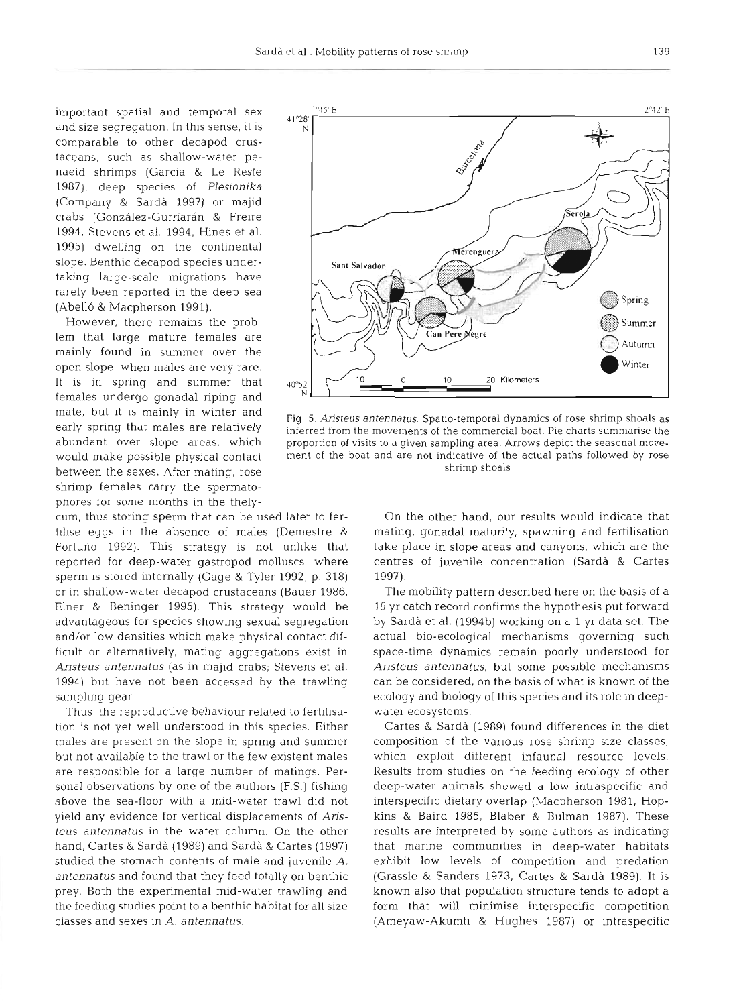comparable to other decapod crustaceans, such as shallow-water penaeid shrimps (Garcia & Le Reste 1987), deep species of *Plesionika*  (Company & Sarda 1997) or majid crabs (González-Gurriarán & Freire 1994, Stevens et al. 1994, Hines et al. 1995) dwelling on the continental slope. Benthic decapod species undertaking large-scale migrations have rarely been reported in the deep sea (Abello & Macpherson 1991).

However, there remains the problem that large mature females are mainly found in summer over the open slope, when males are very rare. females undergo gonadal riping and between the sexes. After mating, rose shrimp shoals shrimp shoals shrimp females carry the spermatophores for some months in the thely-

sperm is stored internally (Gage & Tyler 1992, p. 318) 1997). or in shallow-water decapod crustaceans (Bauer 1986, The mobility pattern described here on the basis of a

Thus, the reproductive behaviour related to fertilisa- water ecosystems. tion is not yet well understood in this species. Either Cartes & Sardà (1989) found differences in the diet



mate, but it is mainly in winter and<br>
Fig. 5. Aristeus antennatus. Spatio-temporal dynamics of rose shrimp shoals as<br>
early spring that males are relatively<br>
inferred from the movements of the commercial boat. Pie charts s inferred from the movements of the commercial boat. Pie charts summarise the abundant over slope areas, which proportion of visits to a given sampling area. Arrows depict the seasonal movewould make possible physical contact ment of the boat and are not indicative of the actual paths followed by rose

cum, thus storing sperm that can be used later to fer- On the other hand, our results would indicate that tilise eggs in the absence of males (Demestre & mating, gonadal maturity, spawning and fertilisation Fortuno 1992). This strategy is not unlike that take place in slope areas and canyons, which are the reported for deep-water gastropod molluscs, where centres of juvenile concentration (Sarda & Cartes

Elner & Beninger 1995). This strategy would be 10 yr catch record confirms the hypothesis put forward advantageous for species showing sexual segregation by Sarda et al. (1994b) working on a 1 yr data set. The and/or low densities which make physical contact dif- actual bio-ecological mechanisms governing such ficult or alternatively, mating aggregations exist in space-time dynamics remain poorly understood for *Aristeus antennatus* (as in majid crabs; Stevens et al. *Aristeus antennatus,* but some possible mechanisms 1994) but have not been accessed by the trawling can be considered, on the basis of what is known of the sampling gear **example in the species** ecology and biology of this species and its role in deep-

males are present on the slope in spring and summer composition of the various rose shrimp size classes, but not available to the trawl or the few existent males which exploit different infaunal resource levels. are responsible for a large number of matings. Per- Results from studies on the feeding ecology of other sonal observations by one of the authors (F.S.) fishing deep-water animals showed a low intraspecific and above the sea-floor with a mid-water trawl did not interspecific dietary overlap (Macpherson 1981, Hopyield any evidence for vertical displacements of *Aris-* kins & Baird 1985, Blaber & Bulman 1987). These *teus antennatus* in the water column. On the other results are interpreted by some authors as indicating hand, Cartes & Sarda (1989) and Sarda & Cartes (1997) that marine communities in deep-water habitats studied the stomach contents of male and juvenile *A.* exhibit low levels of competition and predation *antennatus* and found that they feed totally on benthic (Grassle & Sanders 1973, Cartes & Sarda 1989). It is prey. Both the experimental mid-water trawling and known also that population structure tends to adopt a the feeding studies point to a benthic habitat for all size form that will minimise interspecific competition classes and sexes in A. *antennatus.* (Ameyaw-Akumfi & Hughes 1987) or intraspecific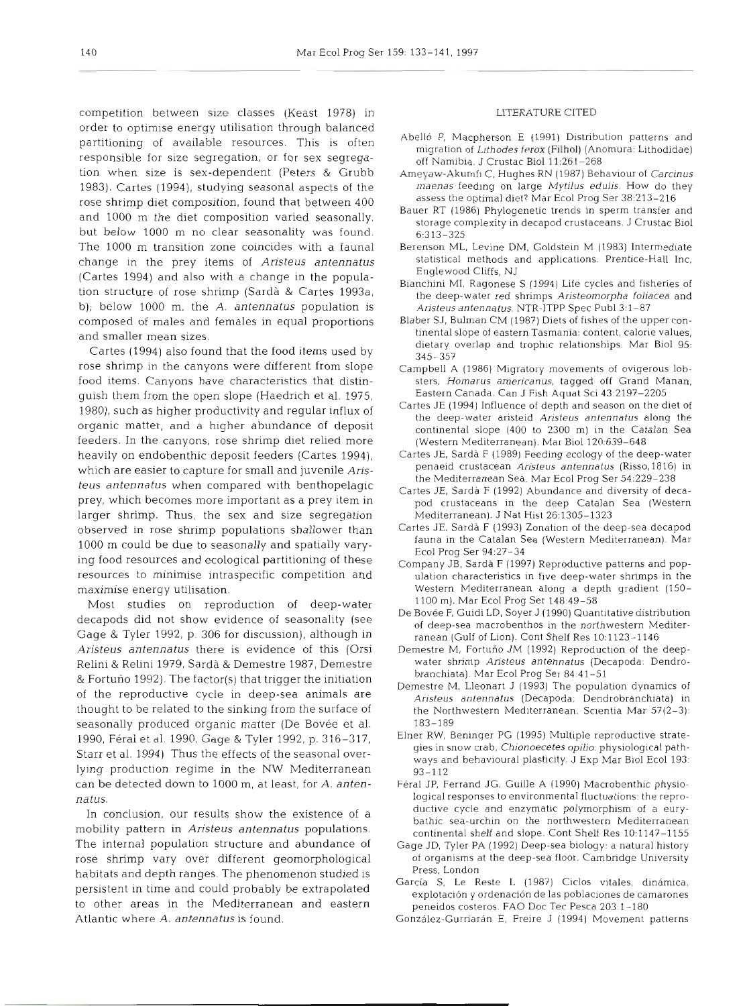competition between size classes (Keast 1978) in order to optimise energy utilisation through balanced partitioning of available resources. This is often responsible for size segregation, or for sex segregation when size is sex-dependent (Peters & Grubb 1983). Cartes (1994), studying seasonal aspects of the rose shrimp diet composition, found that between 400 and 1000 m the diet composition varied seasonally. but below l000 m no clear seasonality was found. The 1000 m transition zone coincides with a faunal change in the prey items of *Aristeus antennatus*  (Cartes 1994) and also with a change in the population structure of rose shrimp (Sarda & Cartes 1993a, b); below 1000 m, the *A. antennatus* population is composed of males and females in equal proportions and smaller mean sizes.

Cartes (1994) also found that the food items used by rose shrimp in the canyons were different from slope food items. Canyons have characteristics that distinguish them from the open slope (Haedrich et al. 1975, 3.980), such as higher productivity and regular influx of organic matter, and a higher abundance of deposit feeders. In the canyons, rose shrimp diet relied more heavily on endobenthic deposit feeders (Cartes 1994), which are easier to capture for small and juvenile Aris*teus antennatus* when compared with benthopelagic prey, which becomes more important as a prey item in larger shrimp. Thus, the sex and size segregation observed in rose shrimp populations shallower than 1000 m could be due to seasonally and spatially varying food resources and ecological partitioning of these resources to minimise intraspecific competition and maximise energy utilisation.

Most studies on reproduction of deep-water decapods did not show evidence of seasonality (see Gage & Tyler 1992, p. 306 for discussion), although in *Aristeus antennatus* there is evidence of this (Orsi Relinl& Relini 1979, Sarda & Demestre 1987, Demestre & Fortuno 1992). The factor(s) that trigger the initiation of the reproductive cycle in deep-sea animals are thought to be related to the sinking from the surface of seasonally produced organic matter (De Bovée et al. 1990, Feral et dl. 1990, Gage & Tyler 1992, p. 316-317, Starr et al. 1994) Thus the effects of the seasonal overlying production regime in the NW Mediterranean can be detected down to 1000 m, at least, for A. *antennatus.* 

In conclusion, our results show the existence of a mobility pattern in *Aristeus antennatus* populations. The internal population structure and abundance of rose shrimp vary over different geomorphological habitats and depth ranges. The phenomenon studied is persistent in time and could probably be extrapolated to other areas in the Mediterranean and eastern Atlantic where A. *antennatus* is found.

## LITERATURE CITED

- Abelló P, Macpherson E (1991) Distribution patterns and migration of Lithodes ferox (Filhol) (Anomura- Lithodidae) off Namibia. J Crustac Biol 11:261-268
- Ameyaw-Akumfi C, Hughes RN (1987) Behaviour of Carcinus maenas feeding on large Mytilus edulis. How do they assess the optimal diet? Mar Ecol Prog Ser 38:213-216
- Bauer RT (1986) Phylogenetic trends in sperm transfer and storage complexity in decapod crustaceans. J Crustac Biol 6:313-325
- Berenson ML, Levine DM, Goldstein M (1983) Intermediate statistical methods and applications. Prentice-Hall Inc, Englewood Cliffs, NJ
- Bianchini MI. Ragonese S (1994) Life cycles and fisheries of the deep-water red shrimps Aristeomorpha foliacea and Aristeus antennatus. NTR-ITPP Spec Pub1 3:l-87
- Blaber SJ, Bulman CM (1987) Diets of fishes of the upper continental slope of eastern Tasmania: content, calorie values, dietary overlap and trophic relationships. Mar Biol 95: 345-357
- Campbell A (1986) Migratory movements of ovigerous lobsters. Homarus americanus, tagged off Grand Manan. Eastern Canada. Can J Fish Aquat Sci 43-2197-2205
- Cartes JE (1994) Influence of depth and season on the diet of the deep-water aristeid Arisfeus antennatus along the continental slope (400 to 2300 m) in the Catalan Sea (Western Mediterranean). Mar Biol 120:639-648
- Cartes JE, Sarda F (1989) Feeding ecology of the deep-water penaeid crustacean Aristeus antennatus (Risso, 1816) in the Mediterranean Sea. Mar Ecol Prog Ser 54:229-238
- Cartes JE, Sarda F (1992) Abundance and diversity of decapod crustaceans in the deep Catalan Sea (Western Mediterranean). J Nat Hist 26:1305-1323
- Cartes JE. Sarda F (1993) Zonation of the deep-sea decapod fauna in the Catalan Sea (Western Mediterranean). Mar Ecol Prog Ser 94:27-34
- Company JB, Sarda F (1997) Reproductive patterns and population characteristics in five deep-water shrimps in the Western Mediterranean along a depth gradient (150- 1100 m). Mar Ecol Prog Ser 148:49-58
- De Bovée F, Guidi LD, Soyer J (1990) Quantitative distribution of deep-sea macrobenthos in the northwestern Mediterranean (Gulf of Lion). Cont Shelf Res 10:1123-1146
- Demestre M, Fortuño JM (1992) Reproduction of the deepwater shrimp Aristeus antennatus (Decapoda: Dendrobranchiata). Mar Ecol Prog Ser 84:41-51
- Demestre M, Lleonart J (1993) The population dynamics of Aristeus antennatus (Decapoda: Dendrobranchiata) in the Northwestern Mediterranean. Scientia Mar  $57(2-3)$ : 183-189
- Elner RW, Beninger PG (1995) Multiple reproductive strategies in snow crab, Chionoecetes opilio: physiological pathways and behavioural plasticity. J Exp Mar Biol Ecol 193: 93-112
- Feral JP, Ferrand JG, Guille **A** (1990) Macrobenthic physiological responses to environmental fluctuations: the reproductive cycle and enzymatic polymorphism of a eurybathic sea-urchin on the northwestern Mediterranean continental shelf and slope. Cont Shelf Res 10:1147-1155
- Gage JD. Tyler PA (1992) Deep-sea biology: a natural history of organisms at the deep-sea floor. Cambridge University Press. London
- García S, Le Reste L (1987) Ciclos vitales, dinámica, explotacion y ordenacion de las poblaclones de camarones peneidos costeros. FAO Doc Tec Pesca 203:l-180
- Gonzalez-Gurriaran E. Freire J (1994) Movement patterns